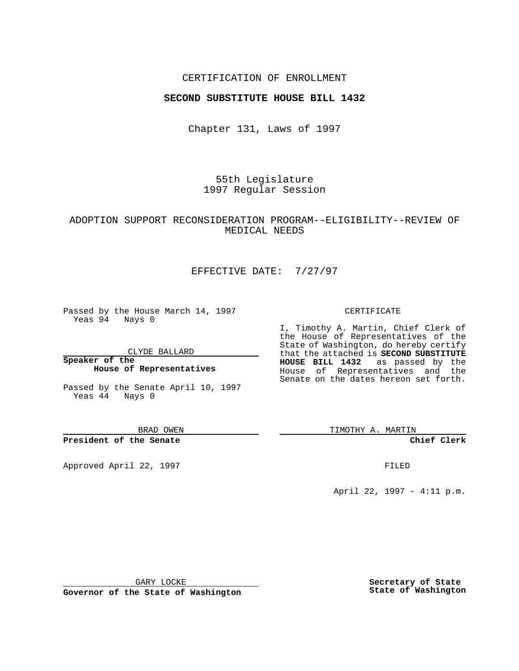### CERTIFICATION OF ENROLLMENT

### **SECOND SUBSTITUTE HOUSE BILL 1432**

Chapter 131, Laws of 1997

55th Legislature 1997 Regular Session

## ADOPTION SUPPORT RECONSIDERATION PROGRAM--ELIGIBILITY--REVIEW OF MEDICAL NEEDS

## EFFECTIVE DATE: 7/27/97

Passed by the House March 14, 1997 Yeas 94 Nays 0

CLYDE BALLARD

**Speaker of the House of Representatives**

Passed by the Senate April 10, 1997 Yeas 44 Nays 0

BRAD OWEN

**President of the Senate**

Approved April 22, 1997 **FILED** 

#### CERTIFICATE

I, Timothy A. Martin, Chief Clerk of the House of Representatives of the State of Washington, do hereby certify that the attached is **SECOND SUBSTITUTE HOUSE BILL 1432** as passed by the House of Representatives and the Senate on the dates hereon set forth.

TIMOTHY A. MARTIN

### **Chief Clerk**

April 22, 1997 - 4:11 p.m.

GARY LOCKE

**Governor of the State of Washington**

**Secretary of State State of Washington**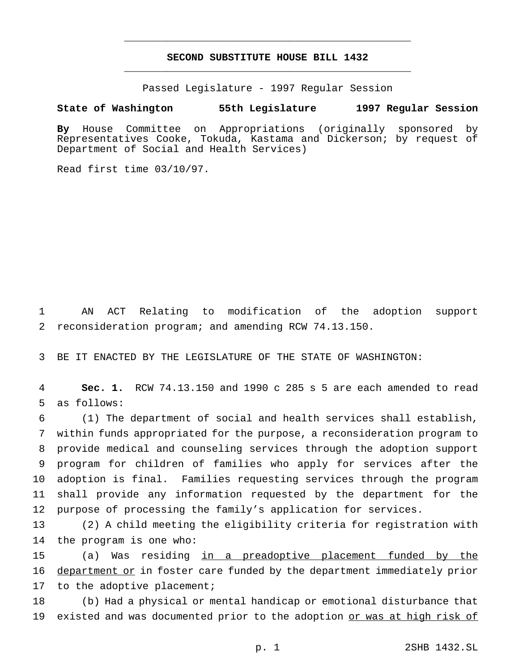# **SECOND SUBSTITUTE HOUSE BILL 1432** \_\_\_\_\_\_\_\_\_\_\_\_\_\_\_\_\_\_\_\_\_\_\_\_\_\_\_\_\_\_\_\_\_\_\_\_\_\_\_\_\_\_\_\_\_\_\_

\_\_\_\_\_\_\_\_\_\_\_\_\_\_\_\_\_\_\_\_\_\_\_\_\_\_\_\_\_\_\_\_\_\_\_\_\_\_\_\_\_\_\_\_\_\_\_

Passed Legislature - 1997 Regular Session

## **State of Washington 55th Legislature 1997 Regular Session**

**By** House Committee on Appropriations (originally sponsored by Representatives Cooke, Tokuda, Kastama and Dickerson; by request of Department of Social and Health Services)

Read first time 03/10/97.

1 AN ACT Relating to modification of the adoption support 2 reconsideration program; and amending RCW 74.13.150.

3 BE IT ENACTED BY THE LEGISLATURE OF THE STATE OF WASHINGTON:

4 **Sec. 1.** RCW 74.13.150 and 1990 c 285 s 5 are each amended to read 5 as follows:

 (1) The department of social and health services shall establish, within funds appropriated for the purpose, a reconsideration program to provide medical and counseling services through the adoption support program for children of families who apply for services after the adoption is final. Families requesting services through the program shall provide any information requested by the department for the purpose of processing the family's application for services.

13 (2) A child meeting the eligibility criteria for registration with 14 the program is one who:

15 (a) Was residing in a preadoptive placement funded by the 16 department or in foster care funded by the department immediately prior 17 to the adoptive placement;

18 (b) Had a physical or mental handicap or emotional disturbance that 19 existed and was documented prior to the adoption or was at high risk of